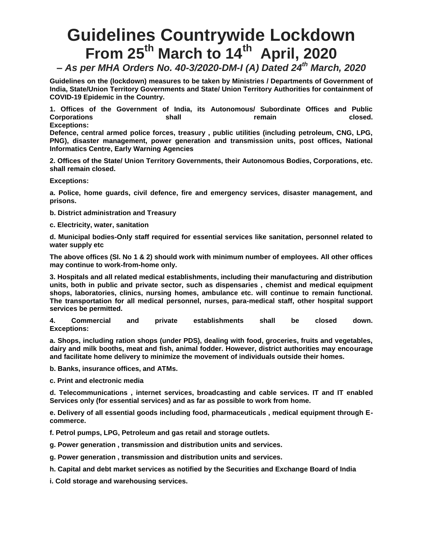## **Guidelines Countrywide Lockdown From 25th March to 14th April, 2020**

*– As per MHA Orders No. 40-3/2020-DM-I (A) Dated 24th March, 2020*

**Guidelines on the (lockdown) measures to be taken by Ministries / Departments of Government of India, State/Union Territory Governments and State/ Union Territory Authorities for containment of COVID-19 Epidemic in the Country.**

**1. Offices of the Government of India, its Autonomous/ Subordinate Offices and Public Corporations shall remain** remain closed. **Exceptions:**

**Defence, central armed police forces, treasury , public utilities (including petroleum, CNG, LPG, PNG), disaster management, power generation and transmission units, post offices, National Informatics Centre, Early Warning Agencies**

**2. Offices of the State/ Union Territory Governments, their Autonomous Bodies, Corporations, etc. shall remain closed.**

**Exceptions:**

**a. Police, home guards, civil defence, fire and emergency services, disaster management, and prisons.**

**b. District administration and Treasury**

**c. Electricity, water, sanitation**

**d. Municipal bodies-Only staff required for essential services like sanitation, personnel related to water supply etc**

**The above offices (SI. No 1 & 2) should work with minimum number of employees. All other offices may continue to work-from-home only.**

**3. Hospitals and all related medical establishments, including their manufacturing and distribution units, both in public and private sector, such as dispensaries , chemist and medical equipment shops, laboratories, clinics, nursing homes, ambulance etc. will continue to remain functional. The transportation for all medical personnel, nurses, para-medical staff, other hospital support services be permitted.**

**4. Commercial and private establishments shall be closed down. Exceptions:**

**a. Shops, including ration shops (under PDS), dealing with food, groceries, fruits and vegetables, dairy and milk booths, meat and fish, animal fodder. However, district authorities may encourage and facilitate home delivery to minimize the movement of individuals outside their homes.**

**b. Banks, insurance offices, and ATMs.**

**c. Print and electronic media**

**d. Telecommunications , internet services, broadcasting and cable services. IT and IT enabled Services only (for essential services) and as far as possible to work from home.**

**e. Delivery of all essential goods including food, pharmaceuticals , medical equipment through Ecommerce.**

**f. Petrol pumps, LPG, Petroleum and gas retail and storage outlets.**

**g. Power generation , transmission and distribution units and services.**

**g. Power generation , transmission and distribution units and services.**

**h. Capital and debt market services as notified by the Securities and Exchange Board of India**

**i. Cold storage and warehousing services.**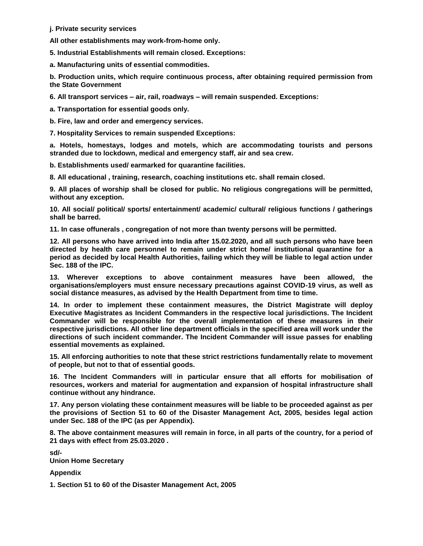**j. Private security services**

**All other establishments may work-from-home only.**

**5. Industrial Establishments will remain closed. Exceptions:**

**a. Manufacturing units of essential commodities.**

**b. Production units, which require continuous process, after obtaining required permission from the State Government**

**6. All transport services – air, rail, roadways – will remain suspended. Exceptions:**

**a. Transportation for essential goods only.**

**b. Fire, law and order and emergency services.**

**7. Hospitality Services to remain suspended Exceptions:**

**a. Hotels, homestays, lodges and motels, which are accommodating tourists and persons stranded due to lockdown, medical and emergency staff, air and sea crew.**

**b. Establishments used/ earmarked for quarantine facilities.**

**8. All educational , training, research, coaching institutions etc. shall remain closed.**

**9. All places of worship shall be closed for public. No religious congregations will be permitted, without any exception.**

**10. All social/ political/ sports/ entertainment/ academic/ cultural/ religious functions / gatherings shall be barred.**

**11. In case offunerals , congregation of not more than twenty persons will be permitted.**

**12. All persons who have arrived into India after 15.02.2020, and all such persons who have been directed by health care personnel to remain under strict home/ institutional quarantine for a period as decided by local Health Authorities, failing which they will be liable to legal action under Sec. 188 of the IPC.**

**13. Wherever exceptions to above containment measures have been allowed, the organisations/employers must ensure necessary precautions against COVID-19 virus, as well as social distance measures, as advised by the Health Department from time to time.**

**14. In order to implement these containment measures, the District Magistrate will deploy Executive Magistrates as Incident Commanders in the respective local jurisdictions. The Incident Commander will be responsible for the overall implementation of these measures in their respective jurisdictions. All other line department officials in the specified area will work under the directions of such incident commander. The Incident Commander will issue passes for enabling essential movements as explained.**

**15. All enforcing authorities to note that these strict restrictions fundamentally relate to movement of people, but not to that of essential goods.**

**16. The Incident Commanders will in particular ensure that all efforts for mobilisation of resources, workers and material for augmentation and expansion of hospital infrastructure shall continue without any hindrance.**

**17. Any person violating these containment measures will be liable to be proceeded against as per the provisions of Section 51 to 60 of the Disaster Management Act, 2005, besides legal action under Sec. 188 of the IPC (as per Appendix).**

**8. The above containment measures will remain in force, in all parts of the country, for a period of 21 days with effect from 25.03.2020 .**

**sd/- Union Home Secretary**

**Appendix**

**1. Section 51 to 60 of the Disaster Management Act, 2005**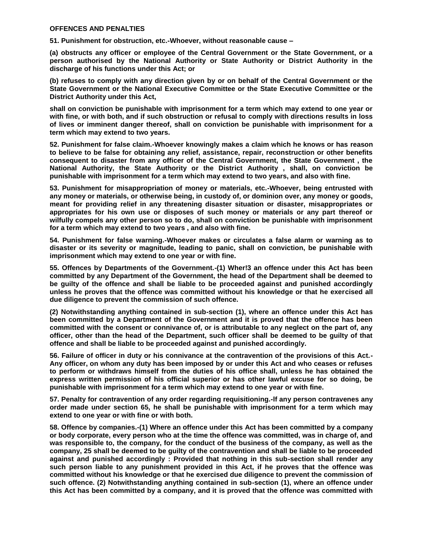## **OFFENCES AND PENALTIES**

**51. Punishment for obstruction, etc.-Whoever, without reasonable cause –**

**(a) obstructs any officer or employee of the Central Government or the State Government, or a person authorised by the National Authority or State Authority or District Authority in the discharge of his functions under this Act; or**

**(b) refuses to comply with any direction given by or on behalf of the Central Government or the State Government or the National Executive Committee or the State Executive Committee or the District Authority under this Act,**

**shall on conviction be punishable with imprisonment for a term which may extend to one year or with fine, or with both, and if such obstruction or refusal to comply with directions results in loss of lives or imminent danger thereof, shall on conviction be punishable with imprisonment for a term which may extend to two years.**

**52. Punishment for false claim.-Whoever knowingly makes a claim which he knows or has reason to believe to be false for obtaining any relief, assistance, repair, reconstruction or other benefits consequent to disaster from any officer of the Central Government, the State Government , the National Authority, the State Authority or the District Authority , shall, on conviction be punishable with imprisonment for a term which may extend to two years, and also with fine.**

**53. Punishment for misappropriation of money or materials, etc.-Whoever, being entrusted with any money or materials, or otherwise being, in custody of, or dominion over, any money or goods, meant for providing relief in any threatening disaster situation or disaster, misappropriates or appropriates for his own use or disposes of such money or materials or any part thereof or wilfully compels any other person so to do, shall on conviction be punishable with imprisonment for a term which may extend to two years , and also with fine.**

**54. Punishment for false warning.-Whoever makes or circulates a false alarm or warning as to disaster or its severity or magnitude, leading to panic, shall on conviction, be punishable with imprisonment which may extend to one year or with fine.**

**55. Offences by Departments of the Government.-(1) Wher!3 an offence under this Act has been committed by any Department of the Government, the head of the Department shall be deemed to be guilty of the offence and shall be liable to be proceeded against and punished accordingly unless he proves that the offence was committed without his knowledge or that he exercised all due diligence to prevent the commission of such offence.**

**(2) Notwithstanding anything contained in sub-section (1), where an offence under this Act has been committed by a Department of the Government and it is proved that the offence has been committed with the consent or connivance of, or is attributable to any neglect on the part of, any officer, other than the head of the Department, such officer shall be deemed to be guilty of that offence and shall be liable to be proceeded against and punished accordingly.**

**56. Failure of officer in duty or his connivance at the contravention of the provisions of this Act.- Any officer, on whom any duty has been imposed by or under this Act and who ceases or refuses to perform or withdraws himself from the duties of his office shall, unless he has obtained the express written permission of his official superior or has other lawful excuse for so doing, be punishable with imprisonment for a term which may extend to one year or with fine.**

**57. Penalty for contravention of any order regarding requisitioning.-lf any person contravenes any order made under section 65, he shall be punishable with imprisonment for a term which may extend to one year or with fine or with both.**

**58. Offence by companies.-(1) Where an offence under this Act has been committed by a company or body corporate, every person who at the time the offence was committed, was in charge of, and was responsible to, the company, for the conduct of the business of the company, as well as the company, 25 shall be deemed to be guilty of the contravention and shall be liable to be proceeded against and punished accordingly : Provided that nothing in this sub-section shall render any such person liable to any punishment provided in this Act, if he proves that the offence was committed without his knowledge or that he exercised due diligence to prevent the commission of such offence. (2) Notwithstanding anything contained in sub-section (1), where an offence under this Act has been committed by a company, and it is proved that the offence was committed with**